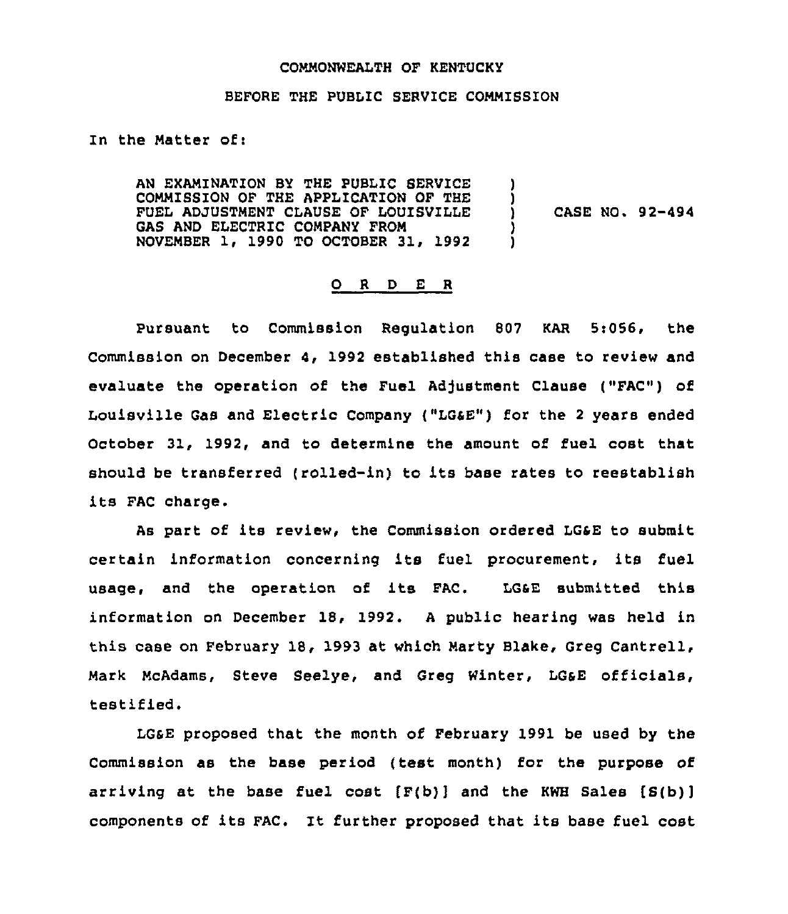#### COMMONWEALTH OF KENTUCKY

#### BEFORE THE PUBLIC SERVICE COMMISSION

In the Matter of:

AN EXAMINATION BY THE PUBLIC SERVICE COMMISSION OF THE APPLICATION OF THE FUEL ADJUSTMENT CLAUSE OF LOUISVILLE GAS AND ELECTRIC COMPANY FROM NOVEMBER 1, 1990 TO OCTOBER 31, 1992 )  $\frac{1}{1}$ ) CASE NO. 92-494 )  $\mathbf{I}$ 

#### 0 <sup>R</sup> <sup>D</sup> <sup>E</sup> <sup>R</sup>

Pursuant to Commission Requlation 807 KAR 5:056, the Commission on December 4, 1992 established this case to review and evaluate the operation of the Fuel Adjustment Clause ("FAC") of Louisville Gas and Electric Company {"LG4E") for the <sup>2</sup> years ended October 31, 1992, and to determine the amount of fuel cost that should be transferred (rolled-in) to its base rates to reestablish its FAC charge.

As part of its review, the Commission ordered LGSE to submit certain information concerning its fuel procurement, its fuel usage, and the operation of its FAC. LGSE submitted this information on December 18, 1992. <sup>A</sup> public hearing was held in this case on February 18, 1993 at which Marty Blake, Greg Cantrell, Mark McAdams, Steve Seelye, and Greg Winter, LG&E officials, testified.

LGsE proposed that the month of February 1991 be used by the Commission as the base period {test month) for the purpose of arriving at the base fuel cost  $[F(b)]$  and the KWH Sales  $[S(b)]$ components of its FAC. Zt further proposed that its base fuel cost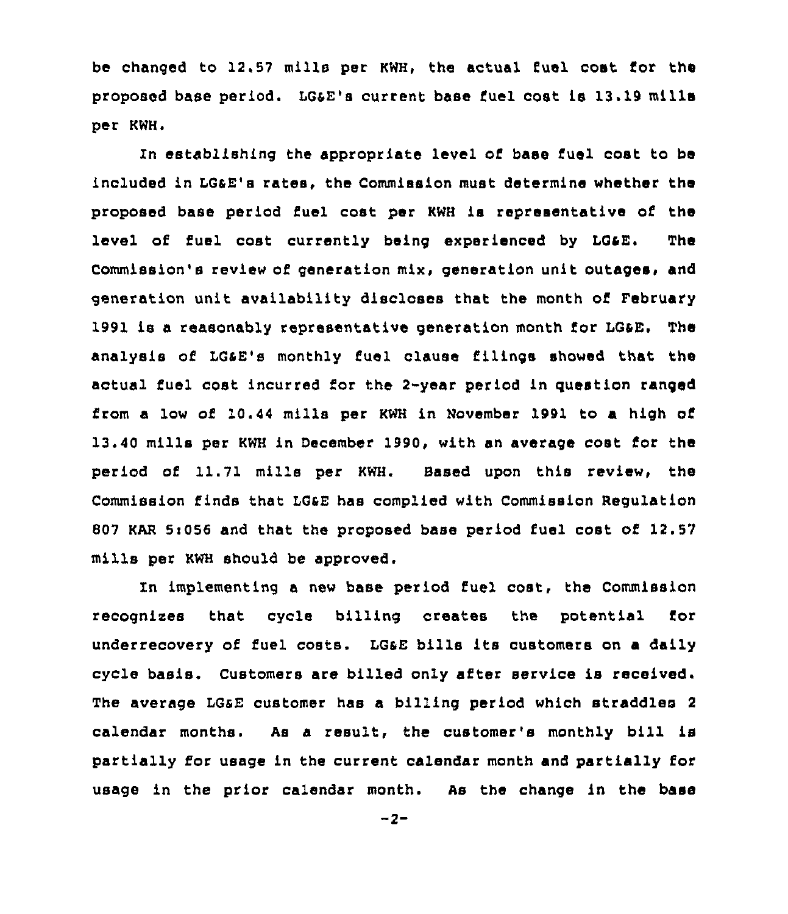be changed to 12.57 mills per KWH, the actual fuel cost for the proposed base period. LGaE's current base fuel coat is 13.19 mills per KWH.

In establishing the appropriate level of base fuel cost to be included in LGaE's rates, the Commission must determine whether the proposed base period fuel cost per KWH is representative of the level of fuel cost currently being experienced by LGaE. The Commission's review of generation mix, generation unit outages, and generation unit availability discloses that the month of February 1991 is a reasonably representative generation month for LGaE, The analysis of LGaE's monthly fuel clause filings showed that the actual fuel cost incurred for the 2-year period in question ranged from a low of 10.44 mills per KWH in November 1991 to a high of 13.40 mills per KWH in December 1990, with an average cost for the period of 11.71 mills per KWH. Based upon this review, the Commission finds that LG&E has complied with Commission Regulation 807 KAR 5:056 and that the proposed base period fuel cost of 12.57 mills per KWH should be approved.

Zn implementing a new base period fuel cost, the Commission recognises that cycle billing creates the potential for underrecovery of fuel costs. LGaE bills its customers on a daily cycle basis. Customers are billed only after service is received. The average LGaE customer has a billing period which straddles <sup>2</sup> calendar months. As a result, the customer's monthly bill is partially for usage in the current calendar month and partially for usage in the prior calendar month. As the change in the base

 $-2-$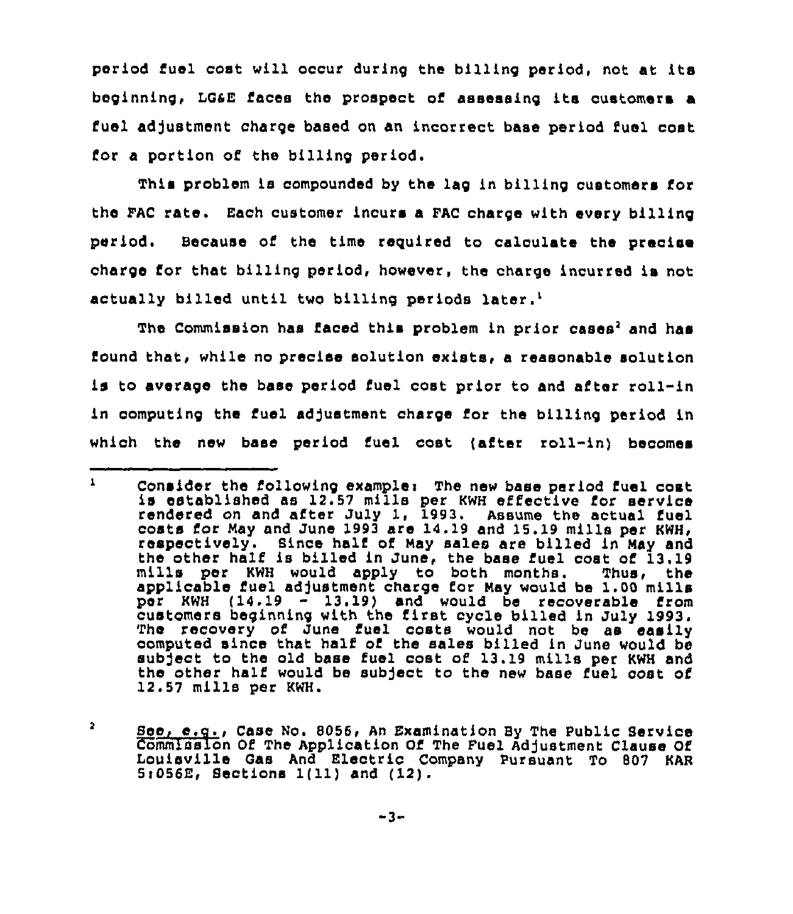period fuel cost will occur during the billing period, not at its beginning, LG&E faces the prospect of assessing its customers a fuel adjustment charge based on an incorrect base period fuel cost for a portion of the billing period.

This problem is compounded by the lag in billing customers for the FAC rate. Each customer incurs a FAC charge with every billing period. Because of the time required to calculate the precise charge for that billing period, however, the charge incurred is not actually billed until two billing periods later.<sup>1</sup>

The Commission has faced this problem in prior cases<sup>2</sup> and has found that, while no precise solution exists, a reasonable solution is to average the base period fuel cost prior to and after roll-in in computing the fuel adjustment charge for the billing period in which the new base period fuel cost (after roll-in) becomes

 $\mathbf{I}$ Consider the following example: The new base period fuel cost is established as 12.57 mills per KWH effective for service rendered on and after July 1, 1993. Assume the actual fuel<br>costs for May and June 1993 are 14.19 and 15.19 mills per KWH, respectively. Since half of May sales are billed in May and the other half is billed in June, the base fuel cost of 13,19<br>mills per KWH would apply to both months. Thus, the applicable fuel adjustment charge for May would be 1.00 mills. per KWH (14.19 - 13.19) and would be recoverable from customers beginning with the first cycle billed in July 1993. The recovery of June fuel costs would not be as easily computed since that half of the sales billed in June would be subject to the old base fuel cost of 13.19 mills per KWH and the other half would be subject to the new base fuel cost of 12.57 mills per KWH.

 $\mathbf{a}$ See, e.g., Case No. 8056, An Examination By The Public Service Louisville Gas And Electric Company Pursuant To 807 KAR 5~056E, Sections 1(11) and (12).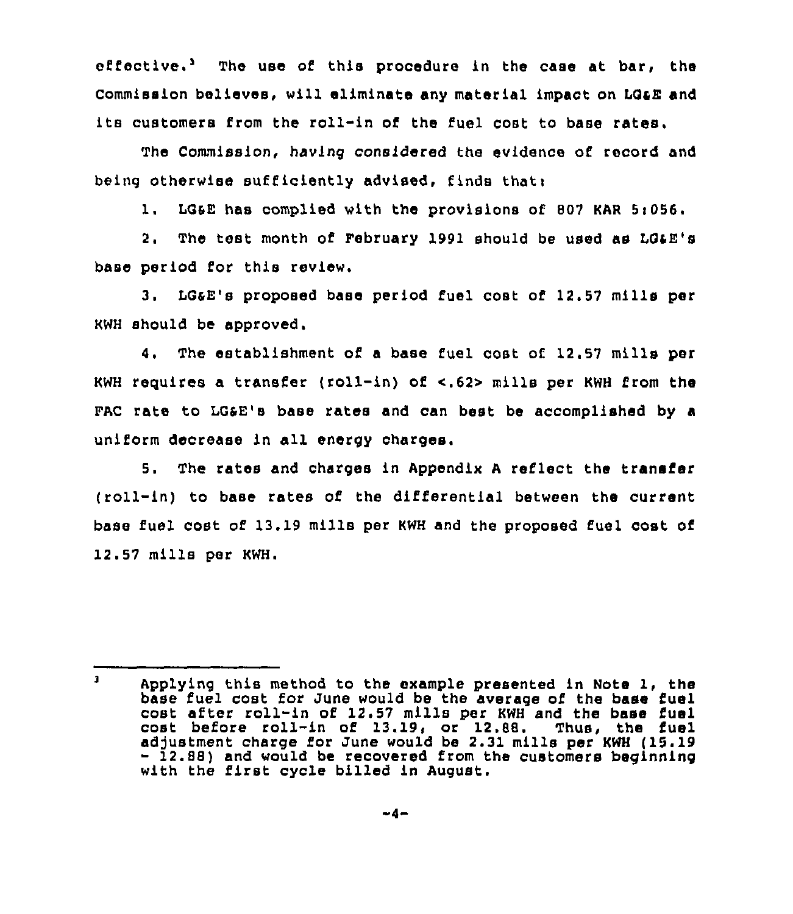effective.<sup>3</sup> The use of this procedure in the case at bar, the commission believes, will eliminate any material impact on LQaE and its customers from the roll-in of the fuel cost to base rates.

The Commission, having considered the evidence of record and being otherwise sufficiently advised, finds that:

1. LQSE has complied with the provisions of <sup>807</sup> KAR 5t056.

2. The test month of February 1991 should be used as LG&E's base period for this review.

3. LGaE's proposed base period fuel cost of 12.57 mills per KWH should be approved.

4. The establishment of a base fuel cost of 12.57 mills per KWH reguires a transfer (roll-in) of <.62> mills per KWH from the FAC rate to LG&E's base rates and can best be accomplished by a uniform decrease in all energy charges.

5. The rates and charges in Appendix A reflect the transfer (roll-in) to base rates of the differential between the current base fuel cost of 13.19 mills per KWH and the proposed fuel cost 12.57 mills per KWH.

 $\mathbf{I}$ Applying this method to the example presented in Note 1, the base fuel cost for June would be the average of the base fuel cost after roll-in of 12.57 mills per KWH and the base fuel cost before roll-in of 13.19, or 12.88. Thus, the fuel adjustment charge for June would be 2.31 mills per KWH (15.19 - 12.88) and would be recovered from the customers beginning with the first cycle billed in August.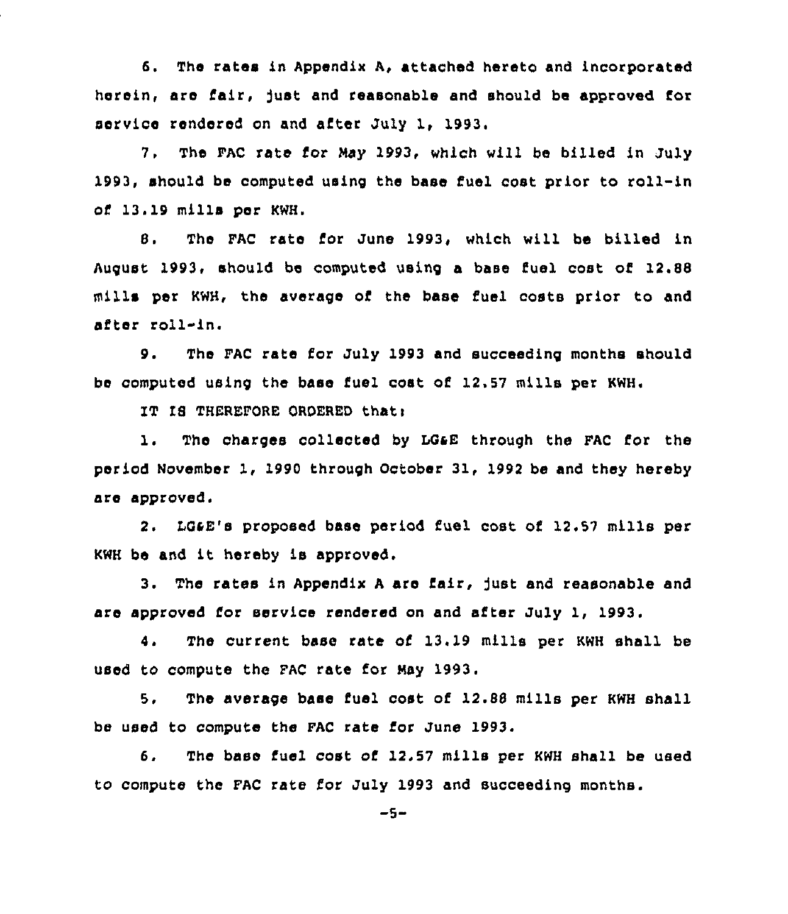6. The rates in Appendix A, attached hereto and incorporated herein, are fair, just and reasonable and should be approved for service rendered on and after July 1, 1993.

7. The FAC rate for May 1993, which will be billed in July 1993, should be computed using the base fuel coat prior to roll-in of 13.19 mills per KWH.

8. The FAC rate for June 1993, which will be billed in August 1993, should be computed using a base fuel cost of 12.88 mills per KWH, the average of the base fuel costs prior to and af ter roll-in.

9. The FAC rate for July 1993 and succeeding months should be computed using the base fuel coat of 12.57 mills per KWH.

IT IS THEREFORE ORDERED that:

1. The charges collected by LG&E through the FAC for the period November 1, 1990 through October 31, 1992 be and they hereby are approved'.

LOaE's proposed base period fuel cost of 12,57 mills per KWH be and it hereby is approved.

3. The rates in Appendix A are fair, just and reasonable and are approved for service rendered on and after July 1, 1993.

4. The current base rate of 13.19 mills per KWH shall be used to compute the FAC rate for Nay 1993.

5, The average base fuel cost of 12.88 mills per KWH shall be used to compute the FAC rate for June 1993.

6. The base fuel cost of 12.57 mills per KWH shall be used to compute the FAC rate for July 1993 and succeeding months.

 $-5-$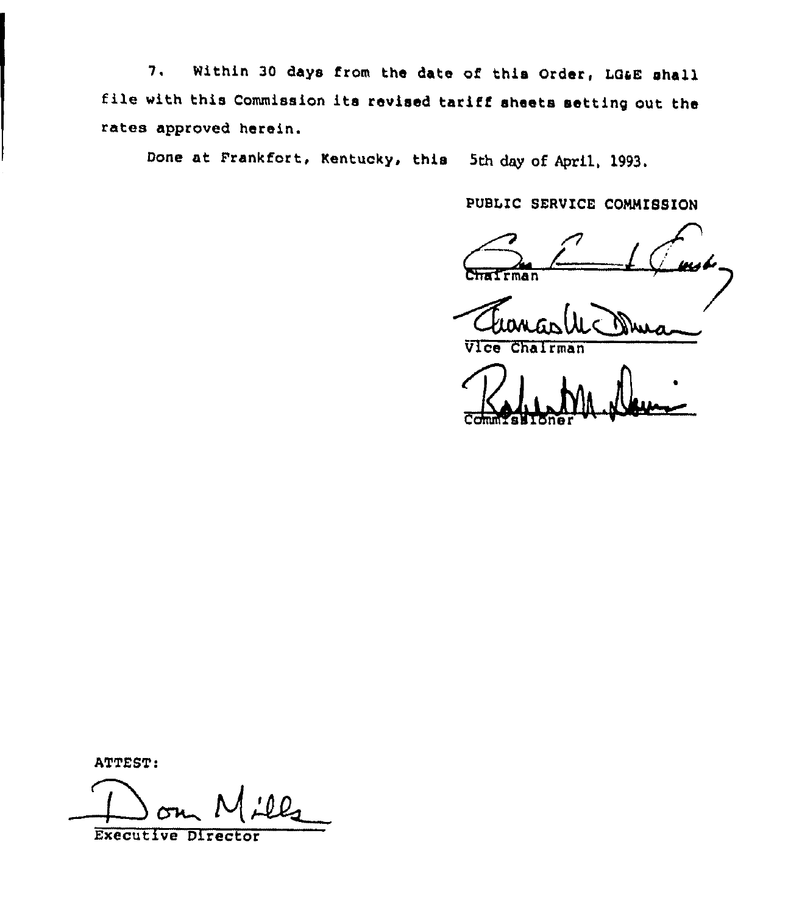7. Within 30 days from the date of this Order, LG&E shall file with this Commission its revised tariff sheets setting out the rates approved herein.

Done at Frankfort, Kentucky, this 5th day of April, 1993.

PUBLIC SERVICE COMMISSION

Vice Chairman

Kohen Mr. Dom

Commis Altone

ATTEST:

Executive Director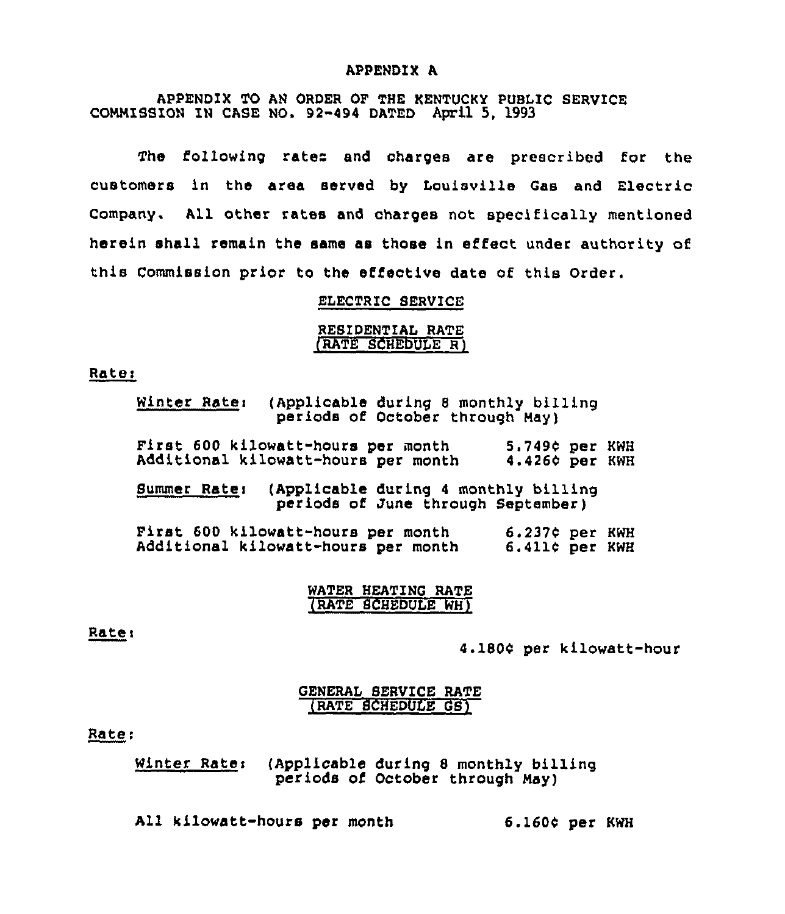#### APPENDIX A

#### APPENDIX TO AN ORDER OF THE KENTUCKY PUBLIC SERVICE COMMISSION IN CASE NO. 92-494 DATED April 5, 1993

The following rates and charges are prescribed for the customers in the area served by Louisville Gas and Electric Company. All other rates and charges not specifically mentioned herein shall remain the same as those in effect under authority of this Commission prior to the effective date of this Order.

#### ELECTRIC SERVICE

#### RESIDENTIAL RATE (RATE SCHEDULE R)

## Rater

| Winter Rate: | (Applicable during 8 monthly billing<br>periods of October through May)    |                                  |  |
|--------------|----------------------------------------------------------------------------|----------------------------------|--|
|              | First 600 kilowatt-hours per month<br>Additional kilowatt-hours per month  | 5.749¢ per KWH<br>4.426¢ per KWH |  |
| Summer Rate: | (Applicable during 4 monthly billing<br>periods of June through September) |                                  |  |
|              | First 600 kilowatt-hours per month                                         | $6.237$ ¢ per KWH                |  |

#### WATER HEATING RATE (RATE SCHEDULE WH)

Additional kilowatt-hours per month 6.411¢ per KWH

## Rate:

4.180¢ per kilowatt-hour

#### GENERAL BERVICE RATE (RATE SCHEDULE GS)

#### Rate:

Winter Rate: (Applicable during 8 monthly billing periods of October through May)

All kilowatt-hours per month 6.160¢ per KWH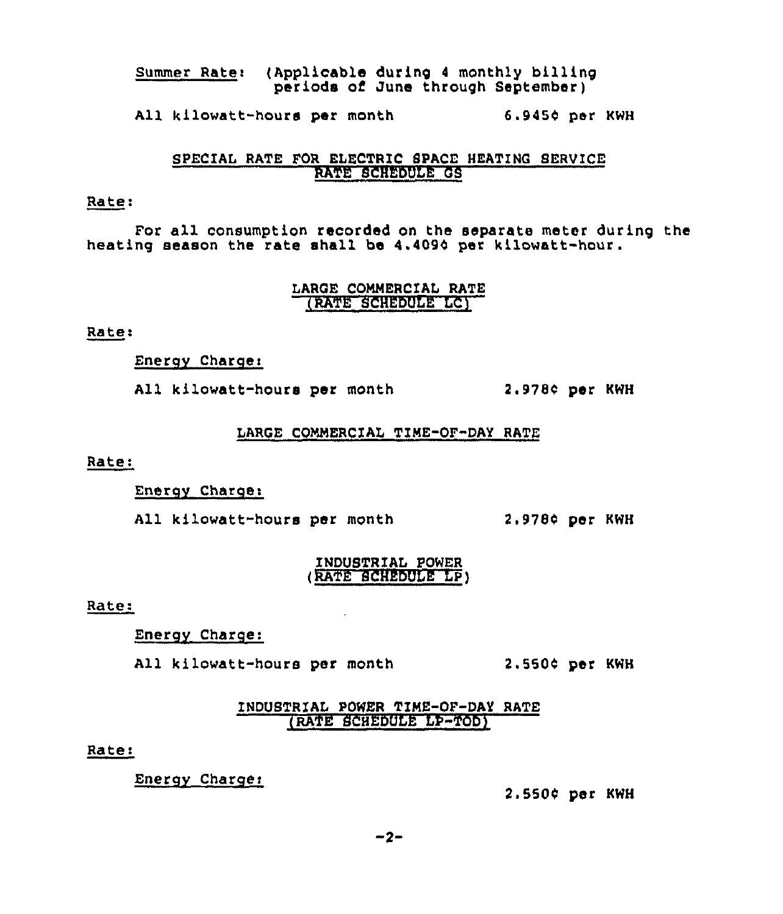Summer Rate: (Applicable during 4 monthly billing periods of June through September)

All kilowatt-hours per month 6.9450 per KWH

#### SPECIAL RATE FOR ELECTRIC SPACE HEATING 8ERVICE RATE 8CHEDULE GS

## Rate:

For all consumption recorded on the separate meter during the heating season the rate shall be 4.4094 per kilowatt-hour.

#### LARGE COMMERCIAL RATE (RATE SCHEDULE LC)

Rate:

Energy Charge:

All kilowatt-hours per month 2.9780 per KWH

#### LARGE COMMERCIAL TIME-OF-DAY RATE

Rate:

Energy Charge:

All kilowatt-hours per month 2.9780 per KWH

#### INDUSTRIAL POWER (RATE SCHEDULE I P)

Rate:

Enerqy Charqe:

All kilowatt-hours per month 2.5580 per KWH

## INDUSTRIAL POWER TIME-OF-DAY RATE (RATE SCHEDULE LP-TOD)

#### Rate:

Energy Charge:

2.5500 per KWH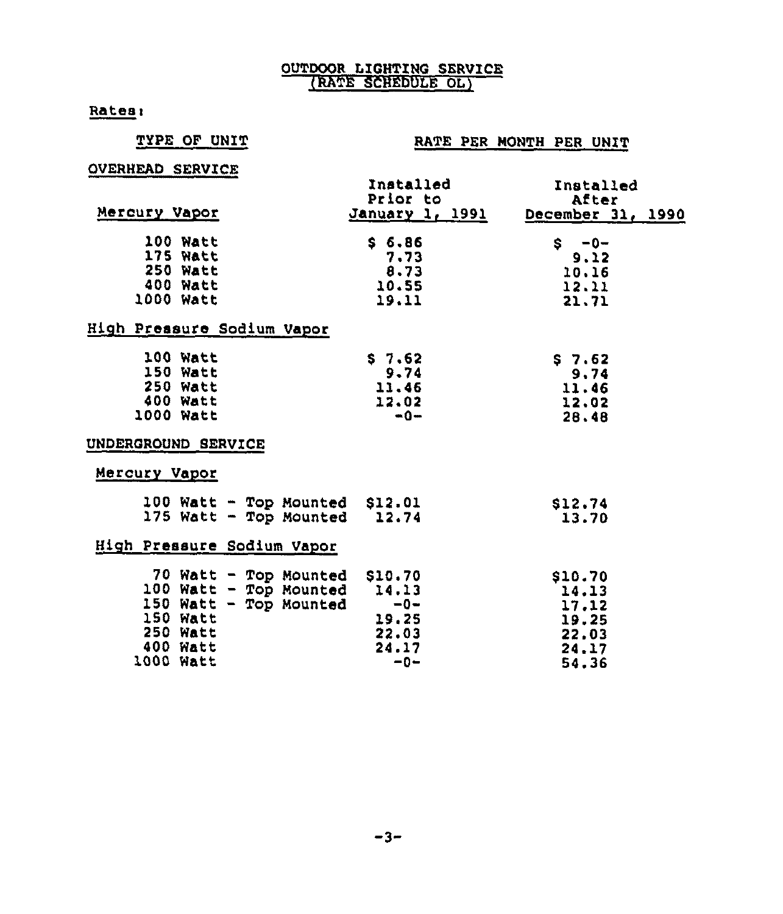# OUTDOOR LIGHTING SERVICE (RATE SCHEDULE OL)

Rates:

# RATE PER MONTH PER UNIT

## **OVERHEAD SERVICE**

TYPE OF UNIT

|                            |                                                                                         | Installed<br>Prior to | Installed<br>After                |
|----------------------------|-----------------------------------------------------------------------------------------|-----------------------|-----------------------------------|
| Mercury Vapor              |                                                                                         |                       | January 1, 1991 December 31, 1990 |
| 100 Watt                   |                                                                                         | \$6.86                | $$ -0-$                           |
| 175 Watt                   |                                                                                         | 7.73                  |                                   |
| <b>250 Watt</b>            |                                                                                         | 8.73                  | $9.12$<br>10.16                   |
| 400 Watt                   |                                                                                         | 10.55                 | 12.11                             |
| 1000 Watt                  |                                                                                         | 19.11                 | 21.71                             |
| High Pressure Sodium Vapor |                                                                                         |                       |                                   |
| 100 Watt                   |                                                                                         | \$7.62                | S 7.62                            |
| 150 Watt                   |                                                                                         | 9.74                  | 9.74                              |
| <b>250 Watt</b>            |                                                                                         | 11.46                 | 11.46                             |
| 400 Watt                   |                                                                                         | 12.02                 | 12.02                             |
| 1000 Watt                  |                                                                                         | — 0—                  | 28.48                             |
| UNDERGROUND SERVICE        |                                                                                         |                       |                                   |
| Mercury Vapor              |                                                                                         |                       |                                   |
|                            | 100 Watt - Top Mounted \$12.01                                                          |                       | \$12.74                           |
|                            | 175 Watt - Top Mounted 12.74                                                            |                       | 13.70                             |
| High Pressure Sodium Vapor |                                                                                         |                       |                                   |
|                            | 70 Watt - Top Mounted<br>100 Watt - Top Mounted<br>150 Watt - Top Mounted - 0-<br>19.25 |                       | \$10.70                           |
|                            |                                                                                         |                       | 14.13                             |
|                            |                                                                                         |                       | 17.12                             |
|                            |                                                                                         |                       | 19.25                             |
| $250$ Watt                 |                                                                                         | 22.03                 | 22.03                             |
| 400 Watt                   |                                                                                         | 24.17                 | 24.17                             |
| <b>1000 Watt</b>           |                                                                                         | $-0-$                 | 54.36                             |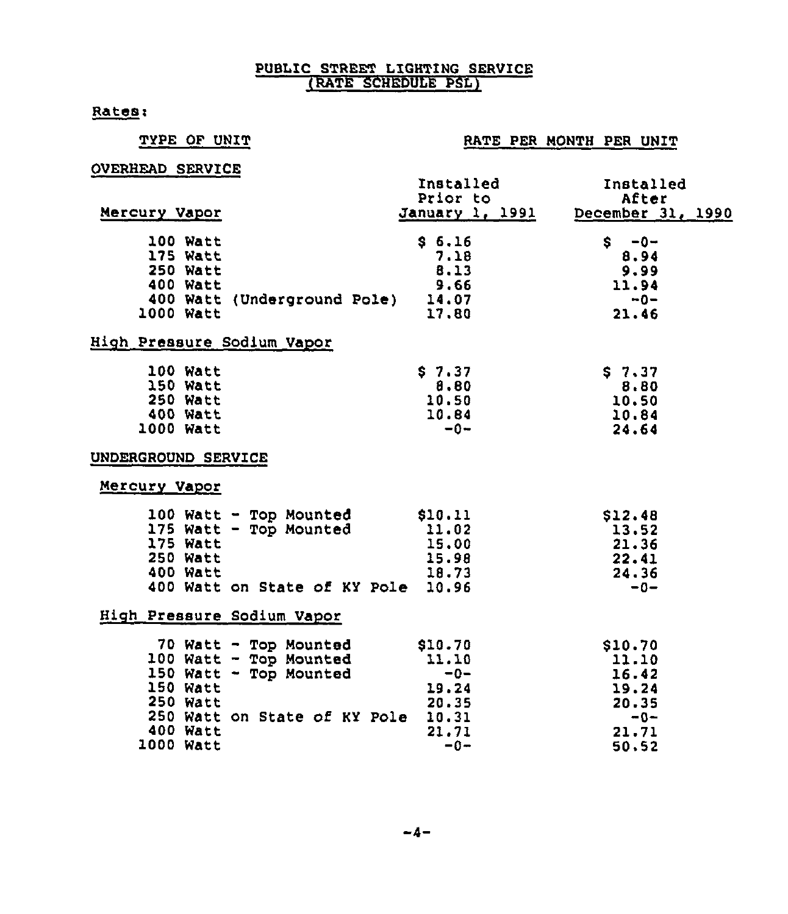## PUBLIC STREET LIGHTING SERVICE (RATE SCHEDULE PSL}

# Rates:

## TYPE OF UNIT

## RATE PER MONTH PER UNIT

| <b>OVERHEAD SERVICE</b> |  |  |
|-------------------------|--|--|
|                         |  |  |

|                            |                                                                                             | Installed                                              | Installed<br>Prior to<br><b>January 1, 1991</b> December 31, 1990 |
|----------------------------|---------------------------------------------------------------------------------------------|--------------------------------------------------------|-------------------------------------------------------------------|
| Mercury Vapor              |                                                                                             |                                                        |                                                                   |
| 100 Watt                   |                                                                                             | \$6.16                                                 | $$ -0 -$<br>8.94<br>9.99                                          |
|                            |                                                                                             |                                                        |                                                                   |
|                            |                                                                                             |                                                        |                                                                   |
|                            | 175 Watt<br>250 Watt<br>400 Watt 8.13<br>400 Watt (Underground Pole) 14.07                  |                                                        | 11.94                                                             |
|                            |                                                                                             |                                                        | $-0-$                                                             |
| 1000 Watt                  |                                                                                             | 17.80                                                  | 21.46                                                             |
| High Pressure Sodium Vapor |                                                                                             |                                                        |                                                                   |
| 100 Watt                   |                                                                                             | \$7.37                                                 |                                                                   |
| 150 Watt                   |                                                                                             | 8.80                                                   | $$7.37$<br>8.80                                                   |
| <b>250 Watt</b>            |                                                                                             | 10.50                                                  | 10.50                                                             |
| <b>400 Watt</b>            |                                                                                             | 10.84                                                  | 10.84                                                             |
| 1000 Watt                  |                                                                                             | $-0-$                                                  | 24.64                                                             |
| UNDERGROUND SERVICE        |                                                                                             |                                                        |                                                                   |
| Mercury Vapor              |                                                                                             |                                                        |                                                                   |
|                            | 100 Watt - Top Mounted \$10.11<br>175 Watt - Top Mounted 11.02                              |                                                        | \$12.48                                                           |
|                            |                                                                                             |                                                        | $13.52$<br>21.36                                                  |
| 175 Watt                   |                                                                                             | $\begin{array}{c} 11.02 \\ 15.00 \\ 15.98 \end{array}$ |                                                                   |
| <b>250 Watt</b>            |                                                                                             |                                                        | 22.41                                                             |
| <b>400 Watt</b>            |                                                                                             | 18.73                                                  | 24.36                                                             |
|                            | 400 Watt on State of KY Pole 10.96                                                          |                                                        | $-0-$                                                             |
| High Pressure Sodium Vapor |                                                                                             |                                                        |                                                                   |
|                            | 70 Watt - Top Mounted \$10.70<br>100 Watt - Top Mounted 11.10<br>150 Watt - Top Mounted -0- |                                                        | \$10.70                                                           |
|                            |                                                                                             |                                                        | 11.10                                                             |
|                            |                                                                                             |                                                        | 16.42                                                             |
| 150 Watt                   |                                                                                             | 19.24                                                  | 19.24                                                             |
| <b>250 Watt</b>            |                                                                                             | 20.35                                                  | 20.35                                                             |
|                            | 250 Watt on State of KY Pole 10.31                                                          |                                                        |                                                                   |
| 400 Watt                   |                                                                                             | 21.71                                                  | $-0-$<br>21.71                                                    |
| 1000 Watt                  |                                                                                             | $-0-$                                                  | 50.52                                                             |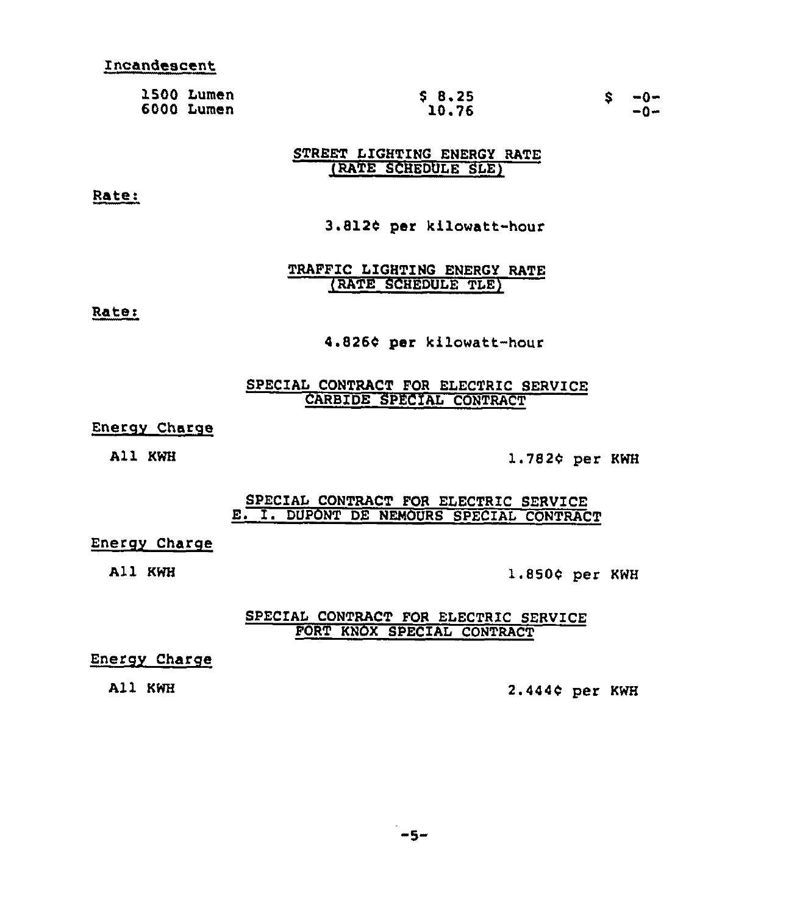Incandescent

| 6000 Lumen<br>10.76 | 1500 Lumen | \$8.25 |  | --0∽<br>-0− |
|---------------------|------------|--------|--|-------------|
|---------------------|------------|--------|--|-------------|

STREET LIGHTING ENERGY RATE (RATE SCHEDULE SLE)

Rate:

3.812C per kilowatt-hour

TRAFFIC LIGHTING ENERGY RATE (RATE SCHEDULE TLE)

Ratet

4.826¢ per kilowatt-hour

SPECIAL CONTRACT FOR ELECTRIC SERVICE CARBIDE SPECIAL CONTRACT

Energv Charge

All KWH

1.782C per KWH

SPECIAL CONTRACT FOR ELECTRIC SERVICE E. I. DUPONT DE NEMOURS SPECIAL CONTRACT

### Energy Charge

All KWH

1.850¢ per KWH

SPECIAL CONTRACT FOR ELECTRIC SERVICE FORT KNOX SPECIAL CONTRACT

#### EnergV Charge

All KWH

2.444C per KWH